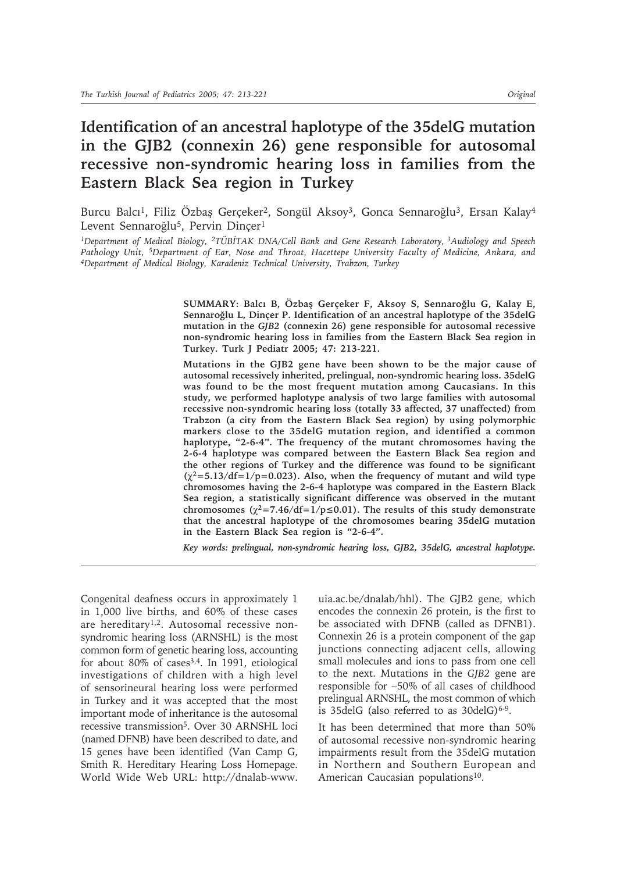# **Identification of an ancestral haplotype of the 35delG mutation in the GJB2 (connexin 26) gene responsible for autosomal recessive non-syndromic hearing loss in families from the Eastern Black Sea region in Turkey**

Burcu Balcı<sup>1</sup>, Filiz Özbaş Gerçeker<sup>2</sup>, Songül Aksoy<sup>3</sup>, Gonca Sennaroğlu<sup>3</sup>, Ersan Kalay<sup>4</sup> Levent Sennaroğlu<sup>5</sup>, Pervin Dincer<sup>1</sup>

*1Department of Medical Biology, 2TÜBİTAK DNA/Cell Bank and Gene Research Laboratory, 3Audiology and Speech Pathology Unit, 5Department of Ear, Nose and Throat, Hacettepe University Faculty of Medicine, Ankara, and 4Department of Medical Biology, Karadeniz Technical University, Trabzon, Turkey*

> **SUMMARY: Balcı B, Özbaş Gerçeker F, Aksoy S, Sennaroğlu G, Kalay E, Sennaroğlu L, Dinçer P. Identification of an ancestral haplotype of the 35delG mutation in the** *GJB2* **(connexin 26) gene responsible for autosomal recessive non-syndromic hearing loss in families from the Eastern Black Sea region in Turkey. Turk J Pediatr 2005; 47: 213-221.**

> **Mutations in the GJB2 gene have been shown to be the major cause of autosomal recessively inherited, prelingual, non-syndromic hearing loss. 35delG was found to be the most frequent mutation among Caucasians. In this study, we performed haplotype analysis of two large families with autosomal recessive non-syndromic hearing loss (totally 33 affected, 37 unaffected) from Trabzon (a city from the Eastern Black Sea region) by using polymorphic markers close to the 35delG mutation region, and identified a common haplotype, "2-6-4". The frequency of the mutant chromosomes having the 2-6-4 haplotype was compared between the Eastern Black Sea region and the other regions of Turkey and the difference was found to be significant**   $(\chi^2 = 5.13/df = 1/p = 0.023)$ . Also, when the frequency of mutant and wild type **chromosomes having the 2-6-4 haplotype was compared in the Eastern Black Sea region, a statistically significant difference was observed in the mutant**  chromosomes ( $\chi^2$ =7.46/df=1/p≤0.01). The results of this study demonstrate **that the ancestral haplotype of the chromosomes bearing 35delG mutation in the Eastern Black Sea region is "2-6-4".**

> *Key words: prelingual, non-syndromic hearing loss, GJB2, 35delG, ancestral haplotype.*

Congenital deafness occurs in approximately 1 in 1,000 live births, and 60% of these cases are hereditary<sup>1,2</sup>. Autosomal recessive nonsyndromic hearing loss (ARNSHL) is the most common form of genetic hearing loss, accounting for about 80% of cases<sup>3,4</sup>. In 1991, etiological investigations of children with a high level of sensorineural hearing loss were performed in Turkey and it was accepted that the most important mode of inheritance is the autosomal recessive transmission5. Over 30 ARNSHL loci (named DFNB) have been described to date, and 15 genes have been identified (Van Camp G, Smith R. Hereditary Hearing Loss Homepage. World Wide Web URL: http://dnalab-www.

uia.ac.be/dnalab/hhl). The GJB2 gene, which encodes the connexin 26 protein, is the first to be associated with DFNB (called as DFNB1). Connexin 26 is a protein component of the gap junctions connecting adjacent cells, allowing small molecules and ions to pass from one cell to the next. Mutations in the *GJB2* gene are responsible for ^50% of all cases of childhood prelingual ARNSHL, the most common of which is 35delG (also referred to as  $30$ delG)<sup>6-9</sup>.

It has been determined that more than 50% of autosomal recessive non-syndromic hearing impairments result from the 35delG mutation in Northern and Southern European and American Caucasian populations<sup>10</sup>.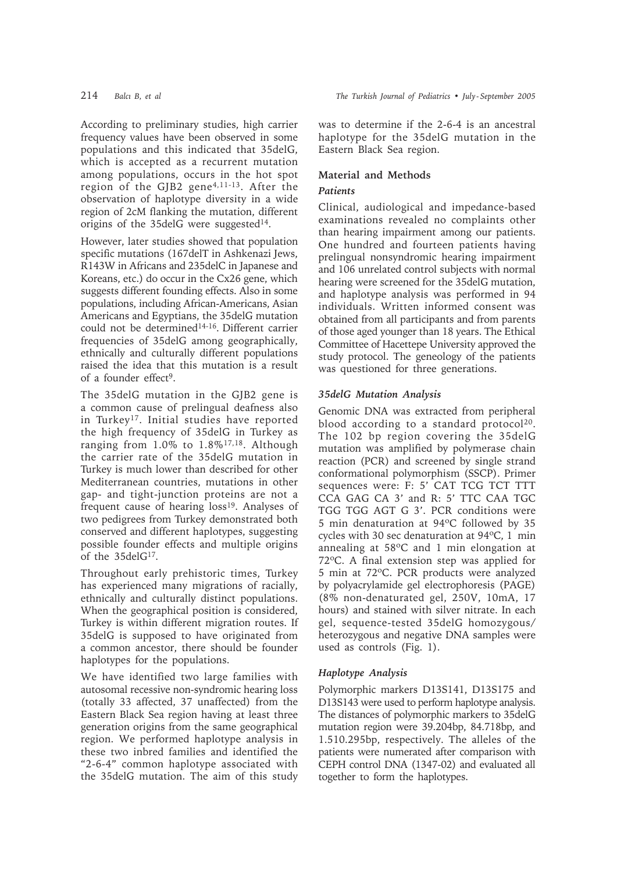According to preliminary studies, high carrier frequency values have been observed in some populations and this indicated that 35delG, which is accepted as a recurrent mutation among populations, occurs in the hot spot region of the GJB2 gene<sup>4,11-13</sup>. After the observation of haplotype diversity in a wide region of 2cM flanking the mutation, different origins of the 35delG were suggested<sup>14</sup>.

However, later studies showed that population specific mutations (167delT in Ashkenazi Jews, R143W in Africans and 235delC in Japanese and Koreans, etc.) do occur in the Cx26 gene, which suggests different founding effects. Also in some populations, including African-Americans, Asian Americans and Egyptians, the 35delG mutation could not be determined<sup>14-16</sup>. Different carrier frequencies of 35delG among geographically, ethnically and culturally different populations raised the idea that this mutation is a result of a founder effect9.

The 35delG mutation in the GJB2 gene is a common cause of prelingual deafness also in Turkey<sup>17</sup>. Initial studies have reported the high frequency of 35delG in Turkey as ranging from  $1.0\%$  to  $1.8\%$ <sup>17,18</sup>. Although the carrier rate of the 35delG mutation in Turkey is much lower than described for other Mediterranean countries, mutations in other gap- and tight-junction proteins are not a frequent cause of hearing loss<sup>19</sup>. Analyses of two pedigrees from Turkey demonstrated both conserved and different haplotypes, suggesting possible founder effects and multiple origins of the 35delG<sup>17</sup>.

Throughout early prehistoric times, Turkey has experienced many migrations of racially, ethnically and culturally distinct populations. When the geographical position is considered, Turkey is within different migration routes. If 35delG is supposed to have originated from a common ancestor, there should be founder haplotypes for the populations.

We have identified two large families with autosomal recessive non-syndromic hearing loss (totally 33 affected, 37 unaffected) from the Eastern Black Sea region having at least three generation origins from the same geographical region. We performed haplotype analysis in these two inbred families and identified the "2-6-4" common haplotype associated with the 35delG mutation. The aim of this study was to determine if the 2-6-4 is an ancestral haplotype for the 35delG mutation in the Eastern Black Sea region.

## **Material and Methods**

## *Patients*

Clinical, audiological and impedance-based examinations revealed no complaints other than hearing impairment among our patients. One hundred and fourteen patients having prelingual nonsyndromic hearing impairment and 106 unrelated control subjects with normal hearing were screened for the 35delG mutation, and haplotype analysis was performed in 94 individuals. Written informed consent was obtained from all participants and from parents of those aged younger than 18 years. The Ethical Committee of Hacettepe University approved the study protocol. The geneology of the patients was questioned for three generations.

## *35delG Mutation Analysis*

Genomic DNA was extracted from peripheral blood according to a standard protocol $20$ . The 102 bp region covering the 35delG mutation was amplified by polymerase chain reaction (PCR) and screened by single strand conformational polymorphism (SSCP). Primer sequences were: F: 5' CAT TCG TCT TTT CCA GAG CA 3' and R: 5' TTC CAA TGC TGG TGG AGT G 3'. PCR conditions were 5 min denaturation at 94ºC followed by 35 cycles with 30 sec denaturation at 94ºC, 1 min annealing at 58ºC and 1 min elongation at 72ºC. A final extension step was applied for 5 min at 72ºC. PCR products were analyzed by polyacrylamide gel electrophoresis (PAGE) (8% non-denaturated gel, 250V, 10mA, 17 hours) and stained with silver nitrate. In each gel, sequence-tested 35delG homozygous/ heterozygous and negative DNA samples were used as controls (Fig. 1).

## *Haplotype Analysis*

Polymorphic markers D13S141, D13S175 and D13S143 were used to perform haplotype analysis. The distances of polymorphic markers to 35delG mutation region were 39.204bp, 84.718bp, and 1.510.295bp, respectively. The alleles of the patients were numerated after comparison with CEPH control DNA (1347-02) and evaluated all together to form the haplotypes.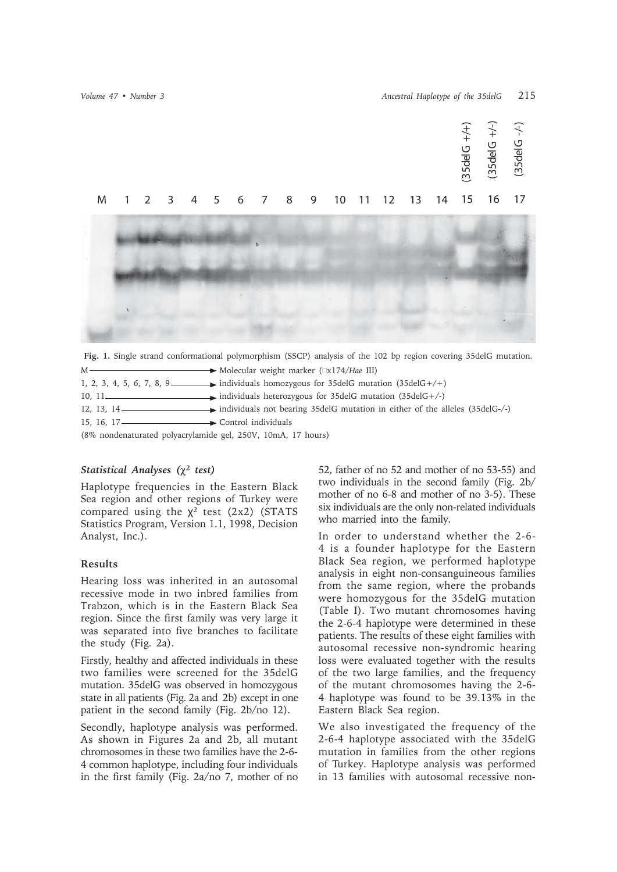

**Fig. 1.** Single strand conformational polymorphism (SSCP) analysis of the 102 bp region covering 35delG mutation. M Molecular weight marker (x174/*Hae* III)

|                                                                                    | 1, 2, 3, 4, 5, 6, 7, 8, 9 individuals homozygous for 35 delg mutation $(35 \text{delG} + / +)$ |
|------------------------------------------------------------------------------------|------------------------------------------------------------------------------------------------|
|                                                                                    |                                                                                                |
|                                                                                    |                                                                                                |
| 15. 16. 17 Control individuals                                                     |                                                                                                |
| $(902 \text{ non-densuremann})$ not not not not not not not not $(1001 \text{ m})$ |                                                                                                |

(8% nondenaturated polyacrylamide gel, 250V, 10mA, 17 hours)

## *Statistical Analyses* ( $χ²$  *test)*

Haplotype frequencies in the Eastern Black Sea region and other regions of Turkey were compared using the  $\chi^2$  test (2x2) (STATS Statistics Program, Version 1.1, 1998, Decision Analyst, Inc.).

## **Results**

Hearing loss was inherited in an autosomal recessive mode in two inbred families from Trabzon, which is in the Eastern Black Sea region. Since the first family was very large it was separated into five branches to facilitate the study (Fig. 2a).

Firstly, healthy and affected individuals in these two families were screened for the 35delG mutation. 35delG was observed in homozygous state in all patients (Fig. 2a and 2b) except in one patient in the second family (Fig. 2b/no 12).

Secondly, haplotype analysis was performed. As shown in Figures 2a and 2b, all mutant chromosomes in these two families have the 2-6- 4 common haplotype, including four individuals in the first family (Fig. 2a/no 7, mother of no 52, father of no 52 and mother of no 53-55) and two individuals in the second family (Fig. 2b/ mother of no 6-8 and mother of no 3-5). These six individuals are the only non-related individuals who married into the family.

In order to understand whether the 2-6- 4 is a founder haplotype for the Eastern Black Sea region, we performed haplotype analysis in eight non-consanguineous families from the same region, where the probands were homozygous for the 35delG mutation (Table I). Two mutant chromosomes having the 2-6-4 haplotype were determined in these patients. The results of these eight families with autosomal recessive non-syndromic hearing loss were evaluated together with the results of the two large families, and the frequency of the mutant chromosomes having the 2-6- 4 haplotype was found to be 39.13% in the Eastern Black Sea region.

We also investigated the frequency of the 2-6-4 haplotype associated with the 35delG mutation in families from the other regions of Turkey. Haplotype analysis was performed in 13 families with autosomal recessive non-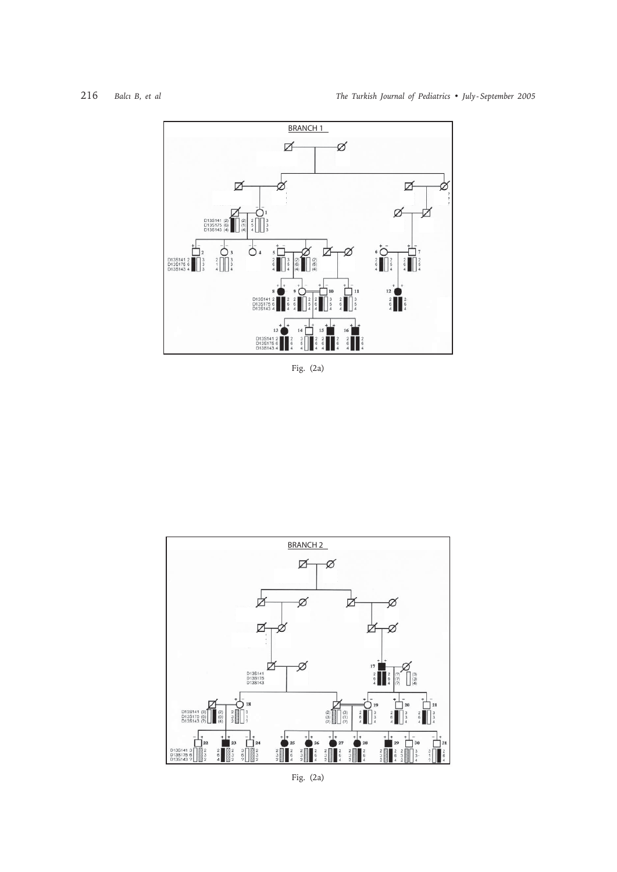

Fig. (2a)



Fig. (2a)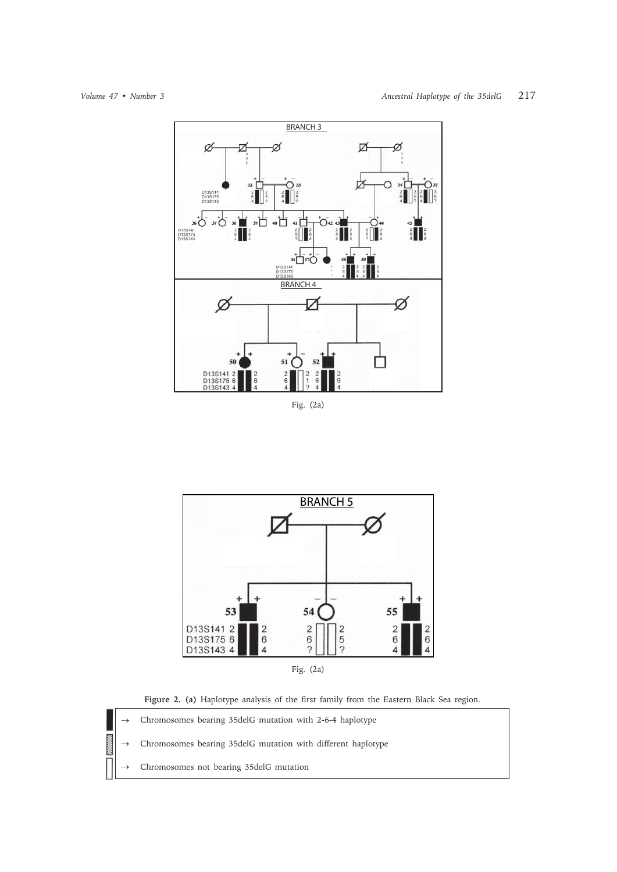

Fig. (2a)



**Figure 2. (a)** Haplotype analysis of the first family from the Eastern Black Sea region.

Chromosomes bearing 35delG mutation with 2-6-4 haplotype

Chromosomes bearing 35delG mutation with different haplotype

Chromosomes not bearing 35delG mutation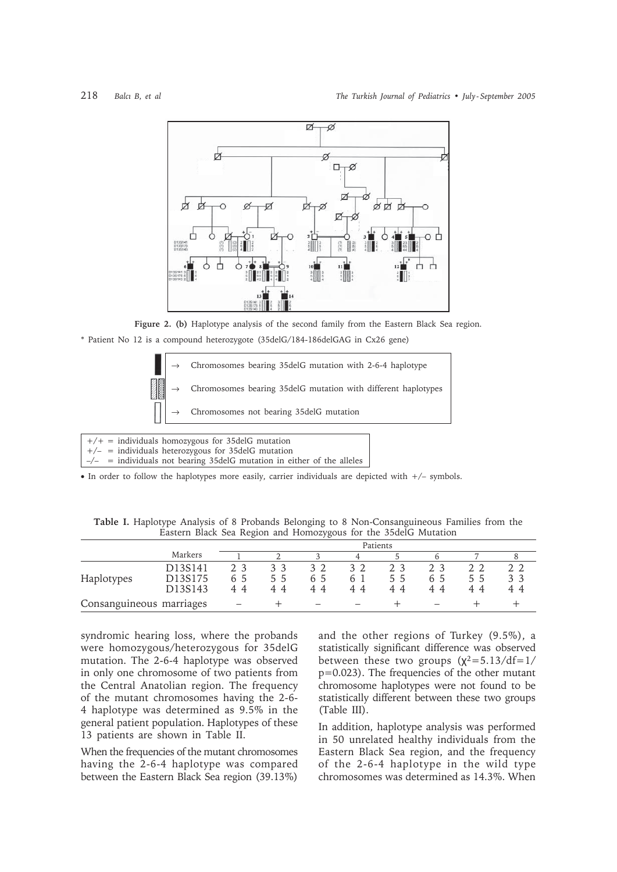

**Figure 2. (b)** Haplotype analysis of the second family from the Eastern Black Sea region. \* Patient No 12 is a compound heterozygote (35delG/184-186delGAG in Cx26 gene)



 $-\angle$  = individuals not bearing 35delG mutation in either of the alleles

v In order to follow the haplotypes more easily, carrier individuals are depicted with +/– symbols.

**Table I.** Haplotype Analysis of 8 Probands Belonging to 8 Non-Consanguineous Families from the Eastern Black Sea Region and Homozygous for the 35delG Mutation

|                          |                                                                                 | Patients |                                       |          |                             |          |           |          |          |
|--------------------------|---------------------------------------------------------------------------------|----------|---------------------------------------|----------|-----------------------------|----------|-----------|----------|----------|
|                          | Markers                                                                         |          |                                       |          | 4                           |          |           |          |          |
| Haplotypes               | D13S141<br>D <sub>13</sub> S <sub>175</sub><br>D <sub>13</sub> S <sub>143</sub> | 65<br>44 | $\mathcal{L}$<br>$\mathcal{L}$<br>4 A | 65<br>44 | 32<br>$h_{\parallel}$<br>44 | 55<br>44 | . ს<br>44 | 55<br>44 | 33<br>44 |
| Consanguineous marriages |                                                                                 |          |                                       |          |                             |          |           |          |          |

syndromic hearing loss, where the probands were homozygous/heterozygous for 35delG mutation. The 2-6-4 haplotype was observed in only one chromosome of two patients from the Central Anatolian region. The frequency of the mutant chromosomes having the 2-6- 4 haplotype was determined as 9.5% in the general patient population. Haplotypes of these 13 patients are shown in Table II.

When the frequencies of the mutant chromosomes having the 2-6-4 haplotype was compared between the Eastern Black Sea region (39.13%) and the other regions of Turkey (9.5%), a statistically significant difference was observed between these two groups  $(x^2=5.13/df=1/$ p=0.023). The frequencies of the other mutant chromosome haplotypes were not found to be statistically different between these two groups (Table III).

In addition, haplotype analysis was performed in 50 unrelated healthy individuals from the Eastern Black Sea region, and the frequency of the 2-6-4 haplotype in the wild type chromosomes was determined as 14.3%. When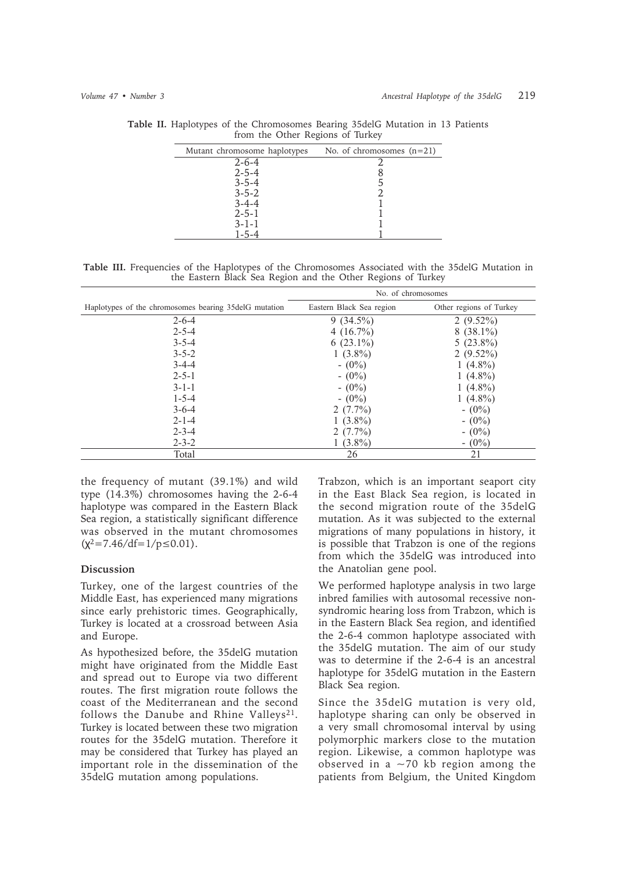| Mutant chromosome haplotypes | No. of chromosomes $(n=21)$ |  |
|------------------------------|-----------------------------|--|
| $2 - 6 - 4$                  |                             |  |
| $2 - 5 - 4$                  |                             |  |
| $3 - 5 - 4$                  |                             |  |
| $3 - 5 - 2$                  |                             |  |
| $3 - 4 - 4$                  |                             |  |
| $2 - 5 - 1$                  |                             |  |
| $3-1-1$                      |                             |  |
| 1-5-4                        |                             |  |
|                              |                             |  |

**Table II.** Haplotypes of the Chromosomes Bearing 35delG Mutation in 13 Patients from the Other Regions of Turkey

**Table III.** Frequencies of the Haplotypes of the Chromosomes Associated with the 35delG Mutation in the Eastern Black Sea Region and the Other Regions of Turkey

|                                                         | No. of chromosomes       |                         |  |  |  |
|---------------------------------------------------------|--------------------------|-------------------------|--|--|--|
| Haplotypes of the chromosomes bearing 35 del G mutation | Eastern Black Sea region | Other regions of Turkey |  |  |  |
| $2 - 6 - 4$                                             | $9(34.5\%)$              | $2(9.52\%)$             |  |  |  |
| $2 - 5 - 4$                                             | 4 $(16.7\%)$             | $8(38.1\%)$             |  |  |  |
| $3 - 5 - 4$                                             | 6 $(23.1\%)$             | $5(23.8\%)$             |  |  |  |
| $3 - 5 - 2$                                             | $1(3.8\%)$               | $2(9.52\%)$             |  |  |  |
| $3-4-4$                                                 | $- (0\%)$                | 1 $(4.8\%)$             |  |  |  |
| $2 - 5 - 1$                                             | $- (0\%)$                | 1 $(4.8\%)$             |  |  |  |
| $3 - 1 - 1$                                             | $- (0\%)$                | 1 $(4.8\%)$             |  |  |  |
| $1 - 5 - 4$                                             | $- (0\%)$                | 1 $(4.8\%)$             |  |  |  |
| $3 - 6 - 4$                                             | 2 $(7.7\%)$              | $- (0\%)$               |  |  |  |
| $2 - 1 - 4$                                             | $1(3.8\%)$               | $-(0\%)$                |  |  |  |
| $2 - 3 - 4$                                             | $2(7.7\%)$               | $- (0\%)$               |  |  |  |
| $2 - 3 - 2$                                             | $1(3.8\%)$               | $- (0\%)$               |  |  |  |
| Total                                                   | 26                       | 21                      |  |  |  |

the frequency of mutant (39.1%) and wild type (14.3%) chromosomes having the 2-6-4 haplotype was compared in the Eastern Black Sea region, a statistically significant difference was observed in the mutant chromosomes  $(x^2=7.46/df=1/p\leq 0.01)$ .

## **Discussion**

Turkey, one of the largest countries of the Middle East, has experienced many migrations since early prehistoric times. Geographically, Turkey is located at a crossroad between Asia and Europe.

As hypothesized before, the 35delG mutation might have originated from the Middle East and spread out to Europe via two different routes. The first migration route follows the coast of the Mediterranean and the second follows the Danube and Rhine Valleys<sup>21</sup>. Turkey is located between these two migration routes for the 35delG mutation. Therefore it may be considered that Turkey has played an important role in the dissemination of the 35delG mutation among populations.

Trabzon, which is an important seaport city in the East Black Sea region, is located in the second migration route of the 35delG mutation. As it was subjected to the external migrations of many populations in history, it is possible that Trabzon is one of the regions from which the 35delG was introduced into the Anatolian gene pool.

We performed haplotype analysis in two large inbred families with autosomal recessive nonsyndromic hearing loss from Trabzon, which is in the Eastern Black Sea region, and identified the 2-6-4 common haplotype associated with the 35delG mutation. The aim of our study was to determine if the 2-6-4 is an ancestral haplotype for 35delG mutation in the Eastern Black Sea region.

Since the 35delG mutation is very old, haplotype sharing can only be observed in a very small chromosomal interval by using polymorphic markers close to the mutation region. Likewise, a common haplotype was observed in a  $\sim$  70 kb region among the patients from Belgium, the United Kingdom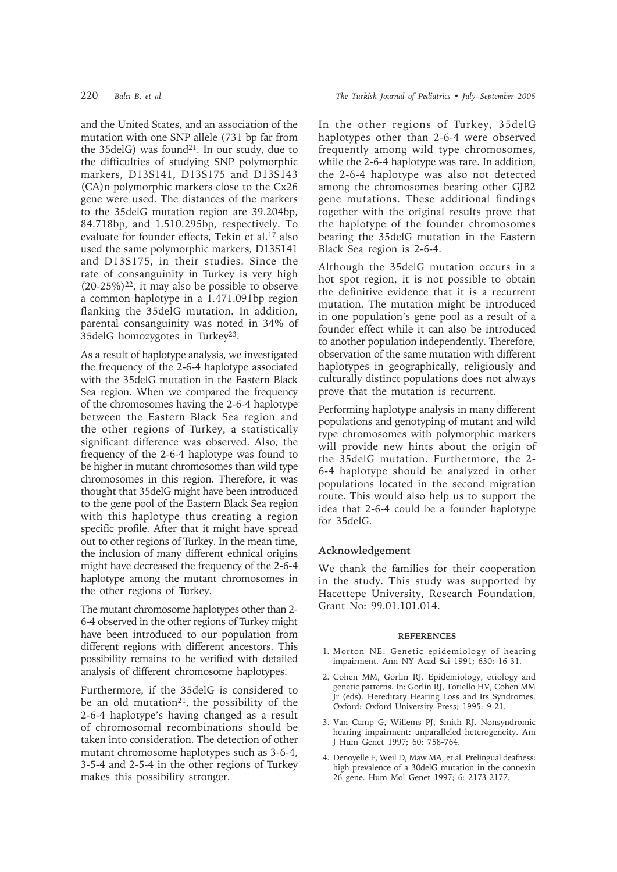and the United States, and an association of the mutation with one SNP allele (731 bp far from the 35delG) was found<sup>21</sup>. In our study, due to the difficulties of studying SNP polymorphic markers, D13S141, D13S175 and D13S143 (CA)n polymorphic markers close to the Cx26 gene were used. The distances of the markers to the 35delG mutation region are 39.204bp, 84.718bp, and 1.510.295bp, respectively. To evaluate for founder effects, Tekin et al.<sup>17</sup> also used the same polymorphic markers, D13S141 and D13S175, in their studies. Since the rate of consanguinity in Turkey is very high  $(20-25\%)^{22}$ , it may also be possible to observe a common haplotype in a 1.471.091bp region flanking the 35delG mutation. In addition, parental consanguinity was noted in 34% of 35delG homozygotes in Turkey23.

As a result of haplotype analysis, we investigated the frequency of the 2-6-4 haplotype associated with the 35delG mutation in the Eastern Black Sea region. When we compared the frequency of the chromosomes having the 2-6-4 haplotype between the Eastern Black Sea region and the other regions of Turkey, a statistically significant difference was observed. Also, the frequency of the 2-6-4 haplotype was found to be higher in mutant chromosomes than wild type chromosomes in this region. Therefore, it was thought that 35delG might have been introduced to the gene pool of the Eastern Black Sea region with this haplotype thus creating a region specific profile. After that it might have spread out to other regions of Turkey. In the mean time, the inclusion of many different ethnical origins might have decreased the frequency of the 2-6-4 haplotype among the mutant chromosomes in the other regions of Turkey.

The mutant chromosome haplotypes other than 2- 6-4 observed in the other regions of Turkey might have been introduced to our population from different regions with different ancestors. This possibility remains to be verified with detailed analysis of different chromosome haplotypes.

Furthermore, if the 35delG is considered to be an old mutation<sup>21</sup>, the possibility of the 2-6-4 haplotype's having changed as a result of chromosomal recombinations should be taken into consideration. The detection of other mutant chromosome haplotypes such as 3-6-4, 3-5-4 and 2-5-4 in the other regions of Turkey makes this possibility stronger.

In the other regions of Turkey, 35delG haplotypes other than 2-6-4 were observed frequently among wild type chromosomes, while the 2-6-4 haplotype was rare. In addition, the 2-6-4 haplotype was also not detected among the chromosomes bearing other GJB2 gene mutations. These additional findings together with the original results prove that the haplotype of the founder chromosomes bearing the 35delG mutation in the Eastern Black Sea region is 2-6-4.

Although the 35delG mutation occurs in a hot spot region, it is not possible to obtain the definitive evidence that it is a recurrent mutation. The mutation might be introduced in one population's gene pool as a result of a founder effect while it can also be introduced to another population independently. Therefore, observation of the same mutation with different haplotypes in geographically, religiously and culturally distinct populations does not always prove that the mutation is recurrent.

Performing haplotype analysis in many different populations and genotyping of mutant and wild type chromosomes with polymorphic markers will provide new hints about the origin of the 35delG mutation. Furthermore, the 2- 6-4 haplotype should be analyzed in other populations located in the second migration route. This would also help us to support the idea that 2-6-4 could be a founder haplotype for 35delG.

## **Acknowledgement**

We thank the families for their cooperation in the study. This study was supported by Hacettepe University, Research Foundation, Grant No: 99.01.101.014.

#### **REFERENCES**

- 1. Morton NE. Genetic epidemiology of hearing impairment. Ann NY Acad Sci 1991; 630: 16-31.
- 2. Cohen MM, Gorlin RJ. Epidemiology, etiology and genetic patterns. In: Gorlin RJ, Toriello HV, Cohen MM Jr (eds). Hereditary Hearing Loss and Its Syndromes. Oxford: Oxford University Press; 1995: 9-21.
- 3. Van Camp G, Willems PJ, Smith RJ. Nonsyndromic hearing impairment: unparalleled heterogeneity. Am J Hum Genet 1997; 60: 758-764.
- 4. Denoyelle F, Weil D, Maw MA, et al. Prelingual deafness: high prevalence of a 30delG mutation in the connexin 26 gene. Hum Mol Genet 1997; 6: 2173-2177.